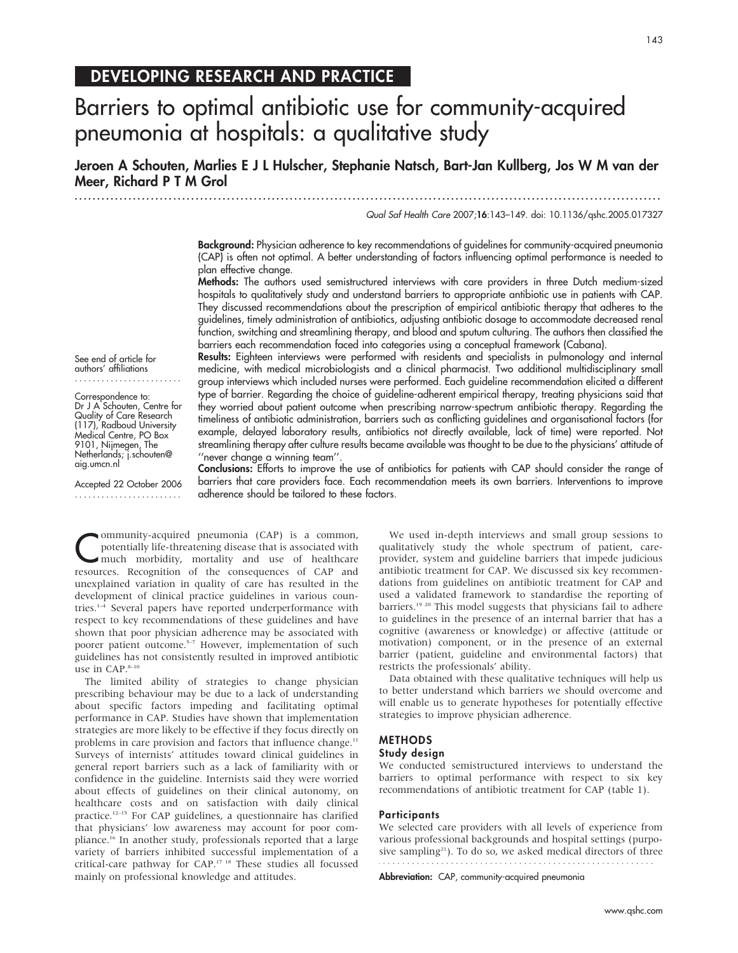# DEVELOPING RESEARCH AND PRACTICE

# Barriers to optimal antibiotic use for community-acquired pneumonia at hospitals: a qualitative study

Jeroen A Schouten, Marlies E J L Hulscher, Stephanie Natsch, Bart-Jan Kullberg, Jos W M van der Meer, Richard P T M Grol

# ............................................................... ............................................................... .....

# Qual Saf Health Care 2007;16:143–149. doi: 10.1136/qshc.2005.017327

Background: Physician adherence to key recommendations of guidelines for community-acquired pneumonia (CAP) is often not optimal. A better understanding of factors influencing optimal performance is needed to plan effective change.

Methods: The authors used semistructured interviews with care providers in three Dutch medium-sized hospitals to qualitatively study and understand barriers to appropriate antibiotic use in patients with CAP. They discussed recommendations about the prescription of empirical antibiotic therapy that adheres to the guidelines, timely administration of antibiotics, adjusting antibiotic dosage to accommodate decreased renal function, switching and streamlining therapy, and blood and sputum culturing. The authors then classified the barriers each recommendation faced into categories using a conceptual framework (Cabana).

Results: Eighteen interviews were performed with residents and specialists in pulmonology and internal medicine, with medical microbiologists and a clinical pharmacist. Two additional multidisciplinary small group interviews which included nurses were performed. Each guideline recommendation elicited a different type of barrier. Regarding the choice of guideline-adherent empirical therapy, treating physicians said that they worried about patient outcome when prescribing narrow-spectrum antibiotic therapy. Regarding the timeliness of antibiotic administration, barriers such as conflicting guidelines and organisational factors (for example, delayed laboratory results, antibiotics not directly available, lack of time) were reported. Not streamlining therapy after culture results became available was thought to be due to the physicians' attitude of ''never change a winning team''.

Conclusions: Efforts to improve the use of antibiotics for patients with CAP should consider the range of barriers that care providers face. Each recommendation meets its own barriers. Interventions to improve adherence should be tailored to these factors.

Community-acquired pneumonia (CAP) is a common,<br>potentially life-threatening disease that is associated with<br>much morbidity, mortality and use of healthcare<br>resources. Becomition of the consequences of CAB and potentially life-threatening disease that is associated with resources. Recognition of the consequences of CAP and unexplained variation in quality of care has resulted in the development of clinical practice guidelines in various countries.1–4 Several papers have reported underperformance with respect to key recommendations of these guidelines and have shown that poor physician adherence may be associated with poorer patient outcome.<sup>5-7</sup> However, implementation of such guidelines has not consistently resulted in improved antibiotic use in CAP.<sup>8-10</sup>

The limited ability of strategies to change physician prescribing behaviour may be due to a lack of understanding about specific factors impeding and facilitating optimal performance in CAP. Studies have shown that implementation strategies are more likely to be effective if they focus directly on problems in care provision and factors that influence change.<sup>11</sup> Surveys of internists' attitudes toward clinical guidelines in general report barriers such as a lack of familiarity with or confidence in the guideline. Internists said they were worried about effects of guidelines on their clinical autonomy, on healthcare costs and on satisfaction with daily clinical practice.12–15 For CAP guidelines, a questionnaire has clarified that physicians' low awareness may account for poor compliance.16 In another study, professionals reported that a large variety of barriers inhibited successful implementation of a critical-care pathway for CAP.17 18 These studies all focussed mainly on professional knowledge and attitudes.

We used in-depth interviews and small group sessions to qualitatively study the whole spectrum of patient, careprovider, system and guideline barriers that impede judicious antibiotic treatment for CAP. We discussed six key recommendations from guidelines on antibiotic treatment for CAP and used a validated framework to standardise the reporting of barriers.19 20 This model suggests that physicians fail to adhere to guidelines in the presence of an internal barrier that has a cognitive (awareness or knowledge) or affective (attitude or motivation) component, or in the presence of an external barrier (patient, guideline and environmental factors) that restricts the professionals' ability.

Data obtained with these qualitative techniques will help us to better understand which barriers we should overcome and will enable us to generate hypotheses for potentially effective strategies to improve physician adherence.

## METHODS

#### Study design

We conducted semistructured interviews to understand the barriers to optimal performance with respect to six key recommendations of antibiotic treatment for CAP (table 1).

## **Participants**

We selected care providers with all levels of experience from various professional backgrounds and hospital settings (purposive sampling<sup>21</sup>). To do so, we asked medical directors of three 

Abbreviation: CAP, community-acquired pneumonia

See end of article for authors' affiliations ........................

Correspondence to: Dr J A Schouten, Centre for Quality of Care Research (117), Radboud University Medical Centre, PO Box 9101, Nijmegen, The Netherlands; j.schouten@ aig.umcn.nl

Accepted 22 October 2006 ........................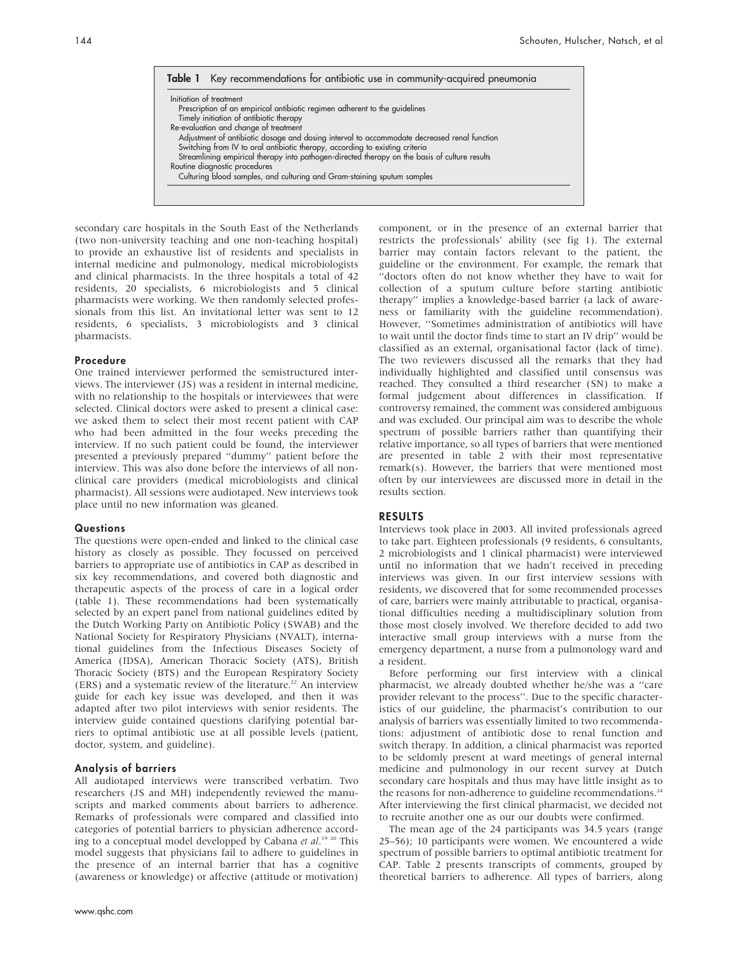

secondary care hospitals in the South East of the Netherlands (two non-university teaching and one non-teaching hospital) to provide an exhaustive list of residents and specialists in internal medicine and pulmonology, medical microbiologists and clinical pharmacists. In the three hospitals a total of 42 residents, 20 specialists, 6 microbiologists and 5 clinical pharmacists were working. We then randomly selected professionals from this list. An invitational letter was sent to 12 residents, 6 specialists, 3 microbiologists and 3 clinical pharmacists.

#### Procedure

One trained interviewer performed the semistructured interviews. The interviewer (JS) was a resident in internal medicine, with no relationship to the hospitals or interviewees that were selected. Clinical doctors were asked to present a clinical case: we asked them to select their most recent patient with CAP who had been admitted in the four weeks preceding the interview. If no such patient could be found, the interviewer presented a previously prepared ''dummy'' patient before the interview. This was also done before the interviews of all nonclinical care providers (medical microbiologists and clinical pharmacist). All sessions were audiotaped. New interviews took place until no new information was gleaned.

#### **Questions**

The questions were open-ended and linked to the clinical case history as closely as possible. They focussed on perceived barriers to appropriate use of antibiotics in CAP as described in six key recommendations, and covered both diagnostic and therapeutic aspects of the process of care in a logical order (table 1). These recommendations had been systematically selected by an expert panel from national guidelines edited by the Dutch Working Party on Antibiotic Policy (SWAB) and the National Society for Respiratory Physicians (NVALT), international guidelines from the Infectious Diseases Society of America (IDSA), American Thoracic Society (ATS), British Thoracic Society (BTS) and the European Respiratory Society (ERS) and a systematic review of the literature.<sup>22</sup> An interview guide for each key issue was developed, and then it was adapted after two pilot interviews with senior residents. The interview guide contained questions clarifying potential barriers to optimal antibiotic use at all possible levels (patient, doctor, system, and guideline).

# Analysis of barriers

All audiotaped interviews were transcribed verbatim. Two researchers (JS and MH) independently reviewed the manuscripts and marked comments about barriers to adherence. Remarks of professionals were compared and classified into categories of potential barriers to physician adherence according to a conceptual model developped by Cabana et al.<sup>19 20</sup> This model suggests that physicians fail to adhere to guidelines in the presence of an internal barrier that has a cognitive (awareness or knowledge) or affective (attitude or motivation)

component, or in the presence of an external barrier that restricts the professionals' ability (see fig 1). The external barrier may contain factors relevant to the patient, the guideline or the environment. For example, the remark that ''doctors often do not know whether they have to wait for collection of a sputum culture before starting antibiotic therapy'' implies a knowledge-based barrier (a lack of awareness or familiarity with the guideline recommendation). However, ''Sometimes administration of antibiotics will have to wait until the doctor finds time to start an IV drip'' would be classified as an external, organisational factor (lack of time). The two reviewers discussed all the remarks that they had individually highlighted and classified until consensus was reached. They consulted a third researcher (SN) to make a formal judgement about differences in classification. If controversy remained, the comment was considered ambiguous and was excluded. Our principal aim was to describe the whole spectrum of possible barriers rather than quantifying their relative importance, so all types of barriers that were mentioned are presented in table 2 with their most representative remark(s). However, the barriers that were mentioned most often by our interviewees are discussed more in detail in the results section.

# RESULTS

Interviews took place in 2003. All invited professionals agreed to take part. Eighteen professionals (9 residents, 6 consultants, 2 microbiologists and 1 clinical pharmacist) were interviewed until no information that we hadn't received in preceding interviews was given. In our first interview sessions with residents, we discovered that for some recommended processes of care, barriers were mainly attributable to practical, organisational difficulties needing a multidisciplinary solution from those most closely involved. We therefore decided to add two interactive small group interviews with a nurse from the emergency department, a nurse from a pulmonology ward and a resident.

Before performing our first interview with a clinical pharmacist, we already doubted whether he/she was a ''care provider relevant to the process''. Due to the specific characteristics of our guideline, the pharmacist's contribution to our analysis of barriers was essentially limited to two recommendations: adjustment of antibiotic dose to renal function and switch therapy. In addition, a clinical pharmacist was reported to be seldomly present at ward meetings of general internal medicine and pulmonology in our recent survey at Dutch secondary care hospitals and thus may have little insight as to the reasons for non-adherence to guideline recommendations.<sup>24</sup> After interviewing the first clinical pharmacist, we decided not to recruite another one as our our doubts were confirmed.

The mean age of the 24 participants was 34.5 years (range 25–56); 10 participants were women. We encountered a wide spectrum of possible barriers to optimal antibiotic treatment for CAP. Table 2 presents transcripts of comments, grouped by theoretical barriers to adherence. All types of barriers, along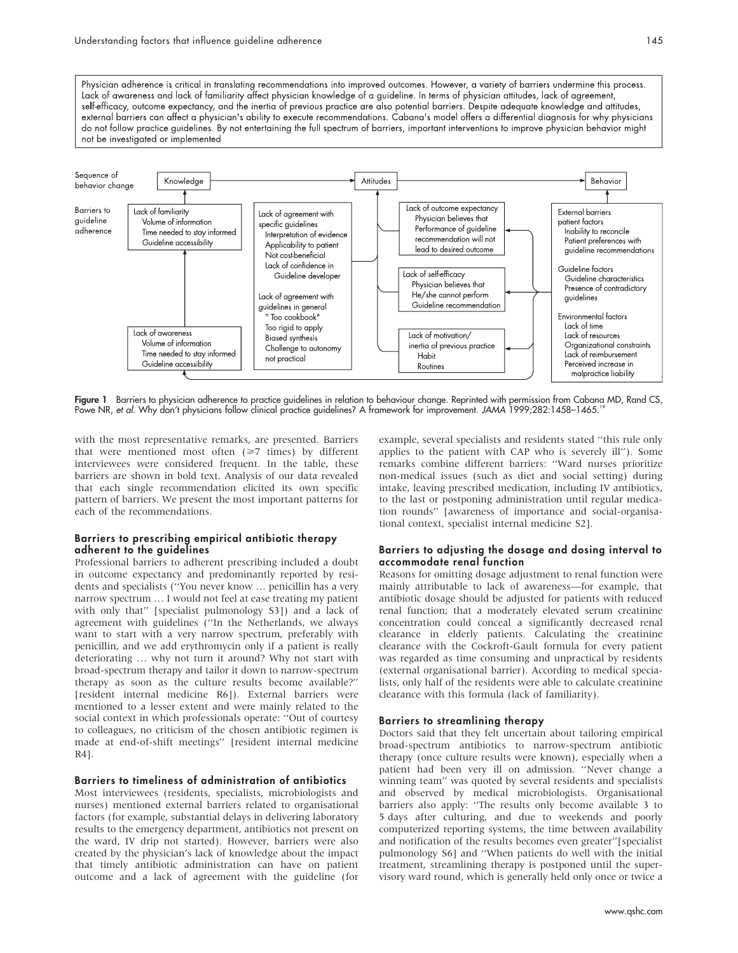Physician adherence is critical in translating recommendations into improved outcomes. However, a variety of barriers undermine this process. Lack of awareness and lack of familiarity affect physician knowledge of a quideline. In terms of physician attitudes, lack of agreement, self-efficacy, outcome expectancy, and the inertia of previous practice are also potential barriers. Despite adequate knowledge and attitudes, external barriers can affect a physician's ability to execute recommendations. Cabana's model offers a differential diagnosis for why physicians do not follow practice guidelines. By not entertaining the full spectrum of barriers, important interventions to improve physician behavior might not be investigated or implemented



Figure 1 Barriers to physician adherence to practice guidelines in relation to behaviour change. Reprinted with permission from Cabana MD, Rand CS, Powe NR, et al. Why don't physicians follow clinical practice quidelines? A framework for improvement. JAMA 1999;282:1458–1465.

with the most representative remarks, are presented. Barriers that were mentioned most often  $(\geq 7$  times) by different interviewees were considered frequent. In the table, these barriers are shown in bold text. Analysis of our data revealed that each single recommendation elicited its own specific pattern of barriers. We present the most important patterns for each of the recommendations.

# Barriers to prescribing empirical antibiotic therapy adherent to the guidelines

Professional barriers to adherent prescribing included a doubt in outcome expectancy and predominantly reported by residents and specialists (''You never know … penicillin has a very narrow spectrum … I would not feel at ease treating my patient with only that'' [specialist pulmonology S3]) and a lack of agreement with guidelines (''In the Netherlands, we always want to start with a very narrow spectrum, preferably with penicillin, and we add erythromycin only if a patient is really deteriorating … why not turn it around? Why not start with broad-spectrum therapy and tailor it down to narrow-spectrum therapy as soon as the culture results become available?'' [resident internal medicine R6]). External barriers were mentioned to a lesser extent and were mainly related to the social context in which professionals operate: ''Out of courtesy to colleagues, no criticism of the chosen antibiotic regimen is made at end-of-shift meetings'' [resident internal medicine R4].

# Barriers to timeliness of administration of antibiotics

Most interviewees (residents, specialists, microbiologists and nurses) mentioned external barriers related to organisational factors (for example, substantial delays in delivering laboratory results to the emergency department, antibiotics not present on the ward, IV drip not started). However, barriers were also created by the physician's lack of knowledge about the impact that timely antibiotic administration can have on patient outcome and a lack of agreement with the guideline (for

example, several specialists and residents stated ''this rule only applies to the patient with CAP who is severely ill''). Some remarks combine different barriers: ''Ward nurses prioritize non-medical issues (such as diet and social setting) during intake, leaving prescribed medication, including IV antibiotics, to the last or postponing administration until regular medication rounds'' [awareness of importance and social-organisational context, specialist internal medicine S2].

# Barriers to adjusting the dosage and dosing interval to accommodate renal function

Reasons for omitting dosage adjustment to renal function were mainly attributable to lack of awareness—for example, that antibiotic dosage should be adjusted for patients with reduced renal function; that a moderately elevated serum creatinine concentration could conceal a significantly decreased renal clearance in elderly patients. Calculating the creatinine clearance with the Cockroft-Gault formula for every patient was regarded as time consuming and unpractical by residents (external organisational barrier). According to medical specialists, only half of the residents were able to calculate creatinine clearance with this formula (lack of familiarity).

## Barriers to streamlining therapy

Doctors said that they felt uncertain about tailoring empirical broad-spectrum antibiotics to narrow-spectrum antibiotic therapy (once culture results were known), especially when a patient had been very ill on admission. ''Never change a winning team'' was quoted by several residents and specialists and observed by medical microbiologists. Organisational barriers also apply: ''The results only become available 3 to 5 days after culturing, and due to weekends and poorly computerized reporting systems, the time between availability and notification of the results becomes even greater''[specialist pulmonology S6] and ''When patients do well with the initial treatment, streamlining therapy is postponed until the supervisory ward round, which is generally held only once or twice a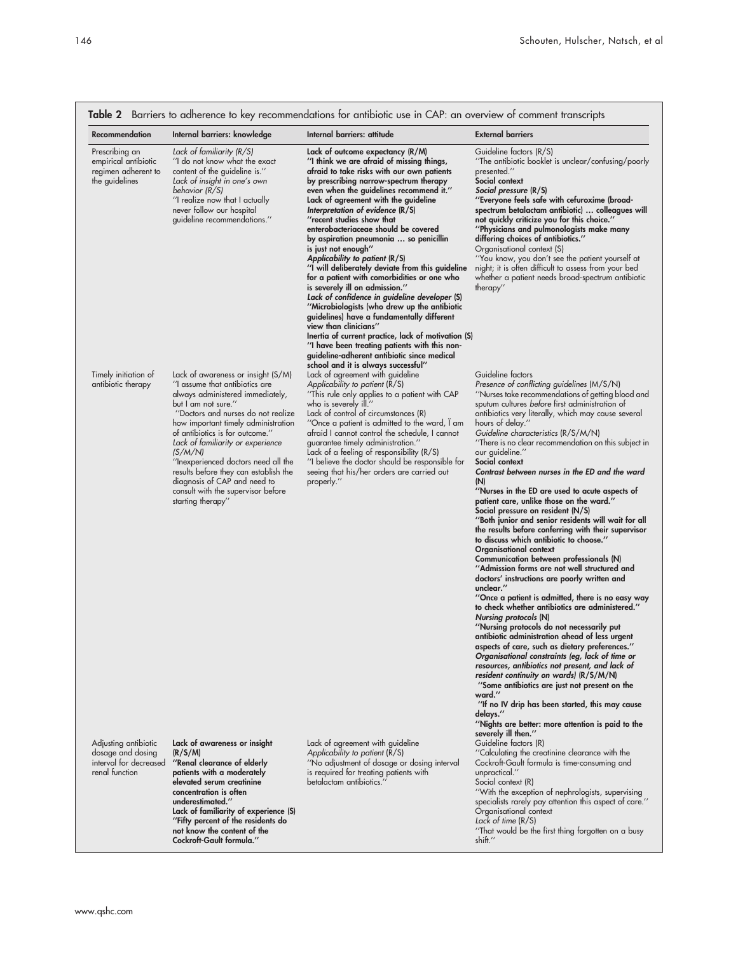| Recommendation                                                                        | Internal barriers: knowledge                                                                                                                                                                                                                                                                                                                                                                                                                                               | Internal barriers: attitude                                                                                                                                                                                                                                                                                                                                                                                                                                                                                                                                                                                                                                                                                                                                                                                                                                                                | <b>External barriers</b>                                                                                                                                                                                                                                                                                                                                                                                                                                                                                                                                                                                                                                                                                                                                                                                                                                                                                                                                                                                                                                                                                                                                                                                                                                                                                                                                                                                                                                                                         |
|---------------------------------------------------------------------------------------|----------------------------------------------------------------------------------------------------------------------------------------------------------------------------------------------------------------------------------------------------------------------------------------------------------------------------------------------------------------------------------------------------------------------------------------------------------------------------|--------------------------------------------------------------------------------------------------------------------------------------------------------------------------------------------------------------------------------------------------------------------------------------------------------------------------------------------------------------------------------------------------------------------------------------------------------------------------------------------------------------------------------------------------------------------------------------------------------------------------------------------------------------------------------------------------------------------------------------------------------------------------------------------------------------------------------------------------------------------------------------------|--------------------------------------------------------------------------------------------------------------------------------------------------------------------------------------------------------------------------------------------------------------------------------------------------------------------------------------------------------------------------------------------------------------------------------------------------------------------------------------------------------------------------------------------------------------------------------------------------------------------------------------------------------------------------------------------------------------------------------------------------------------------------------------------------------------------------------------------------------------------------------------------------------------------------------------------------------------------------------------------------------------------------------------------------------------------------------------------------------------------------------------------------------------------------------------------------------------------------------------------------------------------------------------------------------------------------------------------------------------------------------------------------------------------------------------------------------------------------------------------------|
| Prescribing an<br>empirical antibiotic<br>regimen adherent to<br>the guidelines       | Lack of familiarity (R/S)<br>"I do not know what the exact<br>content of the guideline is."<br>Lack of insight in one's own<br>behavior (R/S)<br>"I realize now that I actually<br>never follow our hospital<br>guideline recommendations."                                                                                                                                                                                                                                | Lack of outcome expectancy $(R/M)$<br>"I think we are afraid of missing things,<br>afraid to take risks with our own patients<br>by prescribing narrow-spectrum therapy<br>even when the guidelines recommend it."<br>Lack of agreement with the guideline<br>Interpretation of evidence (R/S)<br>recent studies show that<br>enterobacteriaceae should be covered<br>by aspiration pneumonia  so penicillin<br>is just not enough"<br>Applicability to patient (R/S)<br>"I will deliberately deviate from this guideline<br>for a patient with comorbidities or one who<br>is severely ill on admission."<br>Lack of confidence in guideline developer (S)<br>"Microbiologists (who drew up the antibiotic<br>guidelines) have a fundamentally different<br>view than clinicians"<br>Inertia of current practice, lack of motivation (S)<br>"I have been treating patients with this non- | Guideline factors (R/S)<br>"The antibiotic booklet is unclear/confusing/poorly"<br>presented."<br>Social context<br>Social pressure (R/S)<br>''Everyone feels safe with cefuroxime (broad-<br>spectrum betalactam antibiotic)  colleagues will<br>not quickly criticize you for this choice."<br>"Physicians and pulmonologists make many"<br>differing choices of antibiotics."<br>Organisational context (S)<br>"You know, you don't see the patient yourself at<br>night; it is often difficult to assess from your bed<br>whether a patient needs broad-spectrum antibiotic<br>therapy"                                                                                                                                                                                                                                                                                                                                                                                                                                                                                                                                                                                                                                                                                                                                                                                                                                                                                                      |
| Timely initiation of<br>antibiotic therapy                                            | Lack of awareness or insight (S/M)<br>"I assume that antibiotics are<br>always administered immediately,<br>but I am not sure."<br>"Doctors and nurses do not realize<br>how important timely administration<br>of antibiotics is for outcome."<br>Lack of familiarity or experience<br>(S/M/N)<br>"Inexperienced doctors need all the<br>results before they can establish the<br>diagnosis of CAP and need to<br>consult with the supervisor before<br>starting therapy" | guideline-adherent antibiotic since medical<br>school and it is always successful"<br>Lack of agreement with guideline<br>Applicability to patient (R/S)<br>"This rule only applies to a patient with CAP<br>who is severely ill."<br>Lack of control of circumstances (R)<br>"Once a patient is admitted to the ward, I am<br>afraid I cannot control the schedule, I cannot<br>guarantee timely administration."<br>Lack of a feeling of responsibility (R/S)<br>"I believe the doctor should be responsible for<br>seeing that his/her orders are carried out<br>properly."                                                                                                                                                                                                                                                                                                             | Guideline factors<br>Presence of conflicting guidelines (M/S/N)<br>'Nurses take recommendations of getting blood and<br>sputum cultures before first administration of<br>antibiotics very literally, which may cause several<br>hours of delay."<br>Guideline characteristics (R/S/M/N)<br>"There is no clear recommendation on this subject in<br>our guideline."<br>Social context<br>Contrast between nurses in the ED and the ward<br>(N)<br>"Nurses in the ED are used to acute aspects of<br>patient care, unlike those on the ward."<br>Social pressure on resident (N/S)<br>"Both junior and senior residents will wait for all<br>the results before conferring with their supervisor<br>to discuss which antibiotic to choose."<br><b>Organisational context</b><br>Communication between professionals (N)<br>"Admission forms are not well structured and<br>doctors' instructions are poorly written and<br>unclear."<br>"Once a patient is admitted, there is no easy way<br>to check whether antibiotics are administered."<br>Nursing protocols (N)<br>"Nursing protocols do not necessarily put<br>antibiotic administration ahead of less urgent<br>aspects of care, such as dietary preferences."<br>Organisational constraints (eg, lack of time or<br>resources, antibiotics not present, and lack of<br>resident continuity on wards) (R/S/M/N)<br>"Some antibiotics are just not present on the<br>ward."<br>"If no IV drip has been started, this may cause<br>delays." |
| Adjusting antibiotic<br>dosage and dosing<br>interval for decreased<br>renal function | Lack of awareness or insight<br>(R/S/M)<br>"Renal clearance of elderly<br>patients with a moderately<br>elevated serum creatinine<br>concentration is often<br>underestimated."<br>Lack of familiarity of experience (S)<br>"Fifty percent of the residents do<br>not know the content of the<br>Cockroft-Gault formula."                                                                                                                                                  | Lack of agreement with guideline<br>Applicability to patient (R/S)<br>"No adjustment of dosage or dosing interval<br>is required for treating patients with<br>betalactam antibiotics.'                                                                                                                                                                                                                                                                                                                                                                                                                                                                                                                                                                                                                                                                                                    | "Nights are better: more attention is paid to the<br>severely ill then."<br>Guideline factors (R)<br>"Calculating the creatinine clearance with the<br>Cockroft-Gault formula is time-consuming and<br>unpractical."<br>Social context (R)<br>"With the exception of nephrologists, supervising<br>specialists rarely pay attention this aspect of care."<br>Organisational context<br>Lack of time (R/S)<br>"That would be the first thing forgotten on a busy<br>shift."                                                                                                                                                                                                                                                                                                                                                                                                                                                                                                                                                                                                                                                                                                                                                                                                                                                                                                                                                                                                                       |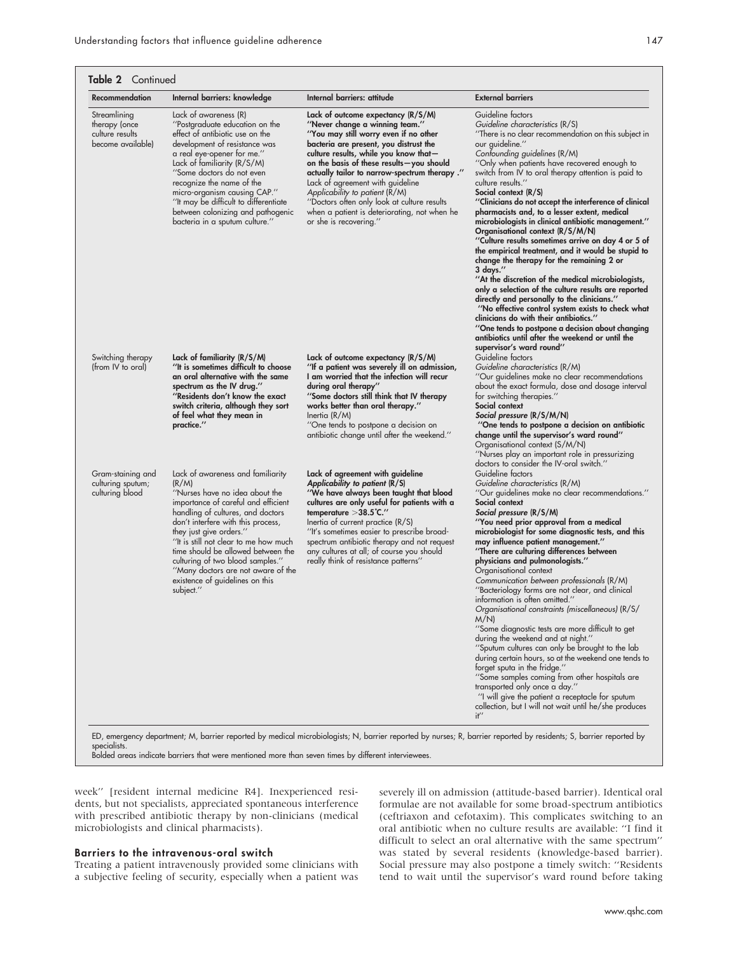| Recommendation                                                        | Internal barriers: knowledge                                                                                                                                                                                                                                                                                                                                                                                                        | Internal barriers: attitude                                                                                                                                                                                                                                                                                                                                                                                                                                                                   | <b>External barriers</b>                                                                                                                                                                                                                                                                                                                                                                                                                                                                                                                                                                                                                                                                                                                                                                                                                                                                                                                                                                                                                                                                  |
|-----------------------------------------------------------------------|-------------------------------------------------------------------------------------------------------------------------------------------------------------------------------------------------------------------------------------------------------------------------------------------------------------------------------------------------------------------------------------------------------------------------------------|-----------------------------------------------------------------------------------------------------------------------------------------------------------------------------------------------------------------------------------------------------------------------------------------------------------------------------------------------------------------------------------------------------------------------------------------------------------------------------------------------|-------------------------------------------------------------------------------------------------------------------------------------------------------------------------------------------------------------------------------------------------------------------------------------------------------------------------------------------------------------------------------------------------------------------------------------------------------------------------------------------------------------------------------------------------------------------------------------------------------------------------------------------------------------------------------------------------------------------------------------------------------------------------------------------------------------------------------------------------------------------------------------------------------------------------------------------------------------------------------------------------------------------------------------------------------------------------------------------|
| Streamlining<br>therapy (once<br>culture results<br>become available) | Lack of awareness (R)<br>"Postgraduate education on the<br>effect of antibiotic use on the<br>development of resistance was<br>a real eye-opener for me."<br>Lack of familiarity (R/S/M)<br>''Some doctors do not even<br>recognize the name of the<br>micro-organism causing CAP."<br>"It may be difficult to differentiate<br>between colonizing and pathogenic<br>bacteria in a sputum culture."                                 | Lack of outcome expectancy (R/S/M)<br>"Never change a winning team."<br>"You may still worry even if no other<br>bacteria are present, you distrust the<br>culture results, while you know that-<br>on the basis of these results - you should<br>actually tailor to narrow-spectrum therapy."<br>Lack of agreement with guideline<br>Applicability to patient (R/M)<br>"Doctors often only look at culture results<br>when a patient is deteriorating, not when he<br>or she is recovering." | Guideline factors<br>Guideline characteristics (R/S)<br>"There is no clear recommendation on this subject in<br>our guideline."<br>Confounding guidelines (R/M)<br>"Only when patients have recovered enough to<br>switch from IV to oral therapy attention is paid to<br>culture results."<br>Social context (R/S)<br>"Clinicians do not accept the interference of clinical<br>pharmacists and, to a lesser extent, medical<br>microbiologists in clinical antibiotic management."<br>Organisational context (R/S/M/N)<br>"Culture results sometimes arrive on day 4 or 5 of<br>the empirical treatment, and it would be stupid to<br>change the therapy for the remaining 2 or<br>3 days."<br>"At the discretion of the medical microbiologists,<br>only a selection of the culture results are reported<br>directly and personally to the clinicians."<br>"No effective control system exists to check what<br>clinicians do with their antibiotics."<br>"One tends to postpone a decision about changing<br>antibiotics until after the weekend or until the                         |
| Switching therapy<br>(from IV to oral)                                | Lack of familiarity $(R/S/M)$<br>"It is sometimes difficult to choose<br>an oral alternative with the same<br>spectrum as the IV drug."<br>"Residents don't know the exact<br>switch criteria, although they sort<br>of feel what they mean in<br>practice."                                                                                                                                                                        | Lack of outcome expectancy (R/S/M)<br>"If a patient was severely ill on admission,<br>I am worried that the infection will recur<br>during oral therapy"<br>"Some doctors still think that IV therapy"<br>works better than oral therapy."<br>Inertia $(R/M)$<br>"One tends to postpone a decision on<br>antibiotic change until after the weekend."                                                                                                                                          | supervisor's ward round"<br>Guideline factors<br>Guideline characteristics (R/M)<br>"Our guidelines make no clear recommendations<br>about the exact formula, dose and dosage interval<br>for switching therapies."<br>Social context<br>Social pressure (R/S/M/N)<br>"One tends to postpone a decision on antibiotic<br>change until the supervisor's ward round"<br>Organisational context (S/M/N)<br>"Nurses play an important role in pressurizing                                                                                                                                                                                                                                                                                                                                                                                                                                                                                                                                                                                                                                    |
| Gram-staining and<br>culturing sputum;<br>culturing blood             | Lack of awareness and familiarity<br>(R/M)<br>"Nurses have no idea about the<br>importance of careful and efficient<br>handling of cultures, and doctors<br>don't interfere with this process,<br>they just give orders."<br>"It is still not clear to me how much<br>time should be allowed between the<br>culturing of two blood samples."<br>''Many doctors are not aware of the<br>existence of guidelines on this<br>subject." | Lack of agreement with guideline<br>Applicability to patient (R/S)<br>''We have always been taught that blood<br>cultures are only useful for patients with a<br>temperature > 38.5°C."<br>Inertia of current practice (R/S)<br>"It's sometimes easier to prescribe broad-<br>spectrum antibiotic therapy and not request<br>any cultures at all; of course you should<br>really think of resistance patterns"                                                                                | doctors to consider the IV-oral switch."<br>Guideline factors<br>Guideline characteristics (R/M)<br>"Our guidelines make no clear recommendations."<br>Social context<br>Social pressure (R/S/M)<br>"You need prior approval from a medical<br>microbiologist for some diagnostic tests, and this<br>may influence patient management."<br>"There are culturing differences between<br>physicians and pulmonologists."<br>Organisational context<br>Communication between professionals (R/M)<br>"Bacteriology forms are not clear, and clinical<br>information is often omitted."<br>Organisational constraints (miscellaneous) (R/S/<br>M/N<br>"Some diagnostic tests are more difficult to get<br>during the weekend and at night."<br>''Sputum cultures can only be brought to the lab<br>during certain hours, so at the weekend one tends to<br>forget sputa in the fridge."<br>"Some samples coming from other hospitals are<br>transported only once a day."<br>"I will give the patient a receptacle for sputum<br>collection, but I will not wait until he/she produces<br>i f' |

specialists. Bolded areas indicate barriers that were mentioned more than seven times by different interviewees.

week'' [resident internal medicine R4]. Inexperienced residents, but not specialists, appreciated spontaneous interference with prescribed antibiotic therapy by non-clinicians (medical microbiologists and clinical pharmacists).

# Barriers to the intravenous-oral switch

Treating a patient intravenously provided some clinicians with a subjective feeling of security, especially when a patient was

severely ill on admission (attitude-based barrier). Identical oral formulae are not available for some broad-spectrum antibiotics (ceftriaxon and cefotaxim). This complicates switching to an oral antibiotic when no culture results are available: ''I find it difficult to select an oral alternative with the same spectrum'' was stated by several residents (knowledge-based barrier). Social pressure may also postpone a timely switch: ''Residents tend to wait until the supervisor's ward round before taking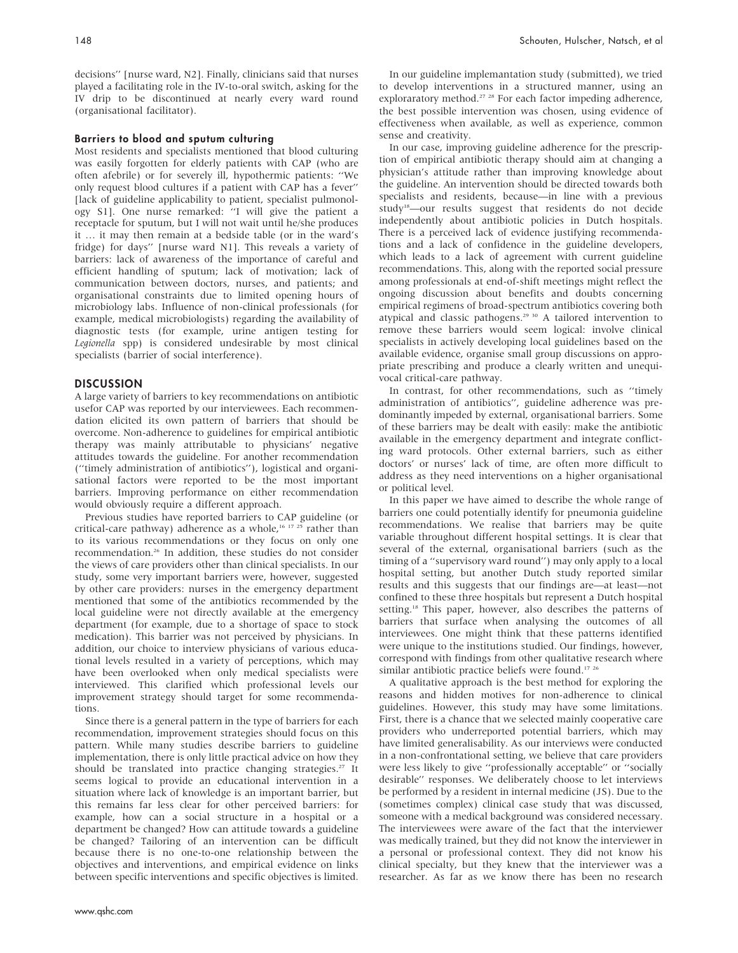decisions'' [nurse ward, N2]. Finally, clinicians said that nurses played a facilitating role in the IV-to-oral switch, asking for the IV drip to be discontinued at nearly every ward round (organisational facilitator).

#### Barriers to blood and sputum culturing

Most residents and specialists mentioned that blood culturing was easily forgotten for elderly patients with CAP (who are often afebrile) or for severely ill, hypothermic patients: ''We only request blood cultures if a patient with CAP has a fever'' [lack of guideline applicability to patient, specialist pulmonology S1]. One nurse remarked: ''I will give the patient a receptacle for sputum, but I will not wait until he/she produces it … it may then remain at a bedside table (or in the ward's fridge) for days'' [nurse ward N1]. This reveals a variety of barriers: lack of awareness of the importance of careful and efficient handling of sputum; lack of motivation; lack of communication between doctors, nurses, and patients; and organisational constraints due to limited opening hours of microbiology labs. Influence of non-clinical professionals (for example, medical microbiologists) regarding the availability of diagnostic tests (for example, urine antigen testing for Legionella spp) is considered undesirable by most clinical specialists (barrier of social interference).

#### **DISCUSSION**

A large variety of barriers to key recommendations on antibiotic usefor CAP was reported by our interviewees. Each recommendation elicited its own pattern of barriers that should be overcome. Non-adherence to guidelines for empirical antibiotic therapy was mainly attributable to physicians' negative attitudes towards the guideline. For another recommendation (''timely administration of antibiotics''), logistical and organisational factors were reported to be the most important barriers. Improving performance on either recommendation would obviously require a different approach.

Previous studies have reported barriers to CAP guideline (or critical-care pathway) adherence as a whole,<sup>16 17 25</sup> rather than to its various recommendations or they focus on only one recommendation.26 In addition, these studies do not consider the views of care providers other than clinical specialists. In our study, some very important barriers were, however, suggested by other care providers: nurses in the emergency department mentioned that some of the antibiotics recommended by the local guideline were not directly available at the emergency department (for example, due to a shortage of space to stock medication). This barrier was not perceived by physicians. In addition, our choice to interview physicians of various educational levels resulted in a variety of perceptions, which may have been overlooked when only medical specialists were interviewed. This clarified which professional levels our improvement strategy should target for some recommendations.

Since there is a general pattern in the type of barriers for each recommendation, improvement strategies should focus on this pattern. While many studies describe barriers to guideline implementation, there is only little practical advice on how they should be translated into practice changing strategies.<sup>27</sup> It seems logical to provide an educational intervention in a situation where lack of knowledge is an important barrier, but this remains far less clear for other perceived barriers: for example, how can a social structure in a hospital or a department be changed? How can attitude towards a guideline be changed? Tailoring of an intervention can be difficult because there is no one-to-one relationship between the objectives and interventions, and empirical evidence on links between specific interventions and specific objectives is limited.

In our guideline implemantation study (submitted), we tried to develop interventions in a structured manner, using an exploraratory method.<sup>27</sup> <sup>28</sup> For each factor impeding adherence, the best possible intervention was chosen, using evidence of effectiveness when available, as well as experience, common sense and creativity.

In our case, improving guideline adherence for the prescription of empirical antibiotic therapy should aim at changing a physician's attitude rather than improving knowledge about the guideline. An intervention should be directed towards both specialists and residents, because—in line with a previous study<sup>18</sup>—our results suggest that residents do not decide independently about antibiotic policies in Dutch hospitals. There is a perceived lack of evidence justifying recommendations and a lack of confidence in the guideline developers, which leads to a lack of agreement with current guideline recommendations. This, along with the reported social pressure among professionals at end-of-shift meetings might reflect the ongoing discussion about benefits and doubts concerning empirical regimens of broad-spectrum antibiotics covering both atypical and classic pathogens.29 30 A tailored intervention to remove these barriers would seem logical: involve clinical specialists in actively developing local guidelines based on the available evidence, organise small group discussions on appropriate prescribing and produce a clearly written and unequivocal critical-care pathway.

In contrast, for other recommendations, such as ''timely administration of antibiotics'', guideline adherence was predominantly impeded by external, organisational barriers. Some of these barriers may be dealt with easily: make the antibiotic available in the emergency department and integrate conflicting ward protocols. Other external barriers, such as either doctors' or nurses' lack of time, are often more difficult to address as they need interventions on a higher organisational or political level.

In this paper we have aimed to describe the whole range of barriers one could potentially identify for pneumonia guideline recommendations. We realise that barriers may be quite variable throughout different hospital settings. It is clear that several of the external, organisational barriers (such as the timing of a ''supervisory ward round'') may only apply to a local hospital setting, but another Dutch study reported similar results and this suggests that our findings are—at least—not confined to these three hospitals but represent a Dutch hospital setting.<sup>18</sup> This paper, however, also describes the patterns of barriers that surface when analysing the outcomes of all interviewees. One might think that these patterns identified were unique to the institutions studied. Our findings, however, correspond with findings from other qualitative research where similar antibiotic practice beliefs were found.<sup>17 26</sup>

A qualitative approach is the best method for exploring the reasons and hidden motives for non-adherence to clinical guidelines. However, this study may have some limitations. First, there is a chance that we selected mainly cooperative care providers who underreported potential barriers, which may have limited generalisability. As our interviews were conducted in a non-confrontational setting, we believe that care providers were less likely to give ''professionally acceptable'' or ''socially desirable'' responses. We deliberately choose to let interviews be performed by a resident in internal medicine (JS). Due to the (sometimes complex) clinical case study that was discussed, someone with a medical background was considered necessary. The interviewees were aware of the fact that the interviewer was medically trained, but they did not know the interviewer in a personal or professional context. They did not know his clinical specialty, but they knew that the interviewer was a researcher. As far as we know there has been no research